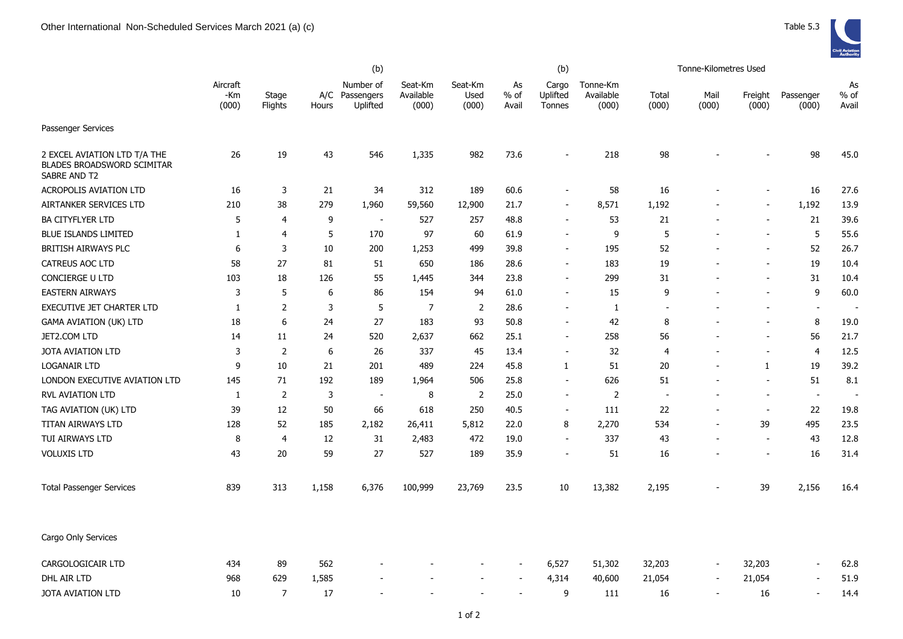|                                                                                   | (b)                      |                  |       |                                         |                               |                          |                     | (b)                         |                                |                          | Tonne-Kilometres Used    |                          |                          |                          |
|-----------------------------------------------------------------------------------|--------------------------|------------------|-------|-----------------------------------------|-------------------------------|--------------------------|---------------------|-----------------------------|--------------------------------|--------------------------|--------------------------|--------------------------|--------------------------|--------------------------|
|                                                                                   | Aircraft<br>-Km<br>(000) | Stage<br>Flights | Hours | Number of<br>A/C Passengers<br>Uplifted | Seat-Km<br>Available<br>(000) | Seat-Km<br>Used<br>(000) | As<br>% of<br>Avail | Cargo<br>Uplifted<br>Tonnes | Tonne-Km<br>Available<br>(000) | Total<br>(000)           | Mail<br>(000)            | Freight<br>(000)         | Passenger<br>(000)       | As<br>$%$ of<br>Avail    |
| Passenger Services                                                                |                          |                  |       |                                         |                               |                          |                     |                             |                                |                          |                          |                          |                          |                          |
| 2 EXCEL AVIATION LTD T/A THE<br><b>BLADES BROADSWORD SCIMITAR</b><br>SABRE AND T2 | 26                       | 19               | 43    | 546                                     | 1,335                         | 982                      | 73.6                |                             | 218                            | 98                       |                          |                          | 98                       | 45.0                     |
| <b>ACROPOLIS AVIATION LTD</b>                                                     | 16                       | 3                | 21    | 34                                      | 312                           | 189                      | 60.6                | $\sim$                      | 58                             | 16                       |                          |                          | 16                       | 27.6                     |
| AIRTANKER SERVICES LTD                                                            | 210                      | 38               | 279   | 1,960                                   | 59,560                        | 12,900                   | 21.7                | $\blacksquare$              | 8,571                          | 1,192                    |                          | $\overline{\phantom{a}}$ | 1,192                    | 13.9                     |
| <b>BA CITYFLYER LTD</b>                                                           | 5                        | $\overline{4}$   | 9     | $\blacksquare$                          | 527                           | 257                      | 48.8                | $\blacksquare$              | 53                             | 21                       |                          |                          | 21                       | 39.6                     |
| <b>BLUE ISLANDS LIMITED</b>                                                       | $\mathbf{1}$             | 4                | 5     | 170                                     | 97                            | 60                       | 61.9                | $\blacksquare$              | 9                              | 5                        |                          |                          | 5                        | 55.6                     |
| BRITISH AIRWAYS PLC                                                               | 6                        | 3                | 10    | 200                                     | 1,253                         | 499                      | 39.8                | ٠                           | 195                            | 52                       |                          |                          | 52                       | 26.7                     |
| CATREUS AOC LTD                                                                   | 58                       | 27               | 81    | 51                                      | 650                           | 186                      | 28.6                | ÷,                          | 183                            | 19                       |                          |                          | 19                       | 10.4                     |
| CONCIERGE U LTD                                                                   | 103                      | 18               | 126   | 55                                      | 1,445                         | 344                      | 23.8                | ÷,                          | 299                            | 31                       |                          |                          | 31                       | 10.4                     |
| <b>EASTERN AIRWAYS</b>                                                            | 3                        | 5                | 6     | 86                                      | 154                           | 94                       | 61.0                | $\blacksquare$              | 15                             | 9                        |                          |                          | 9                        | 60.0                     |
| EXECUTIVE JET CHARTER LTD                                                         | 1                        | 2                | 3     | 5                                       | $\overline{7}$                | 2                        | 28.6                | $\overline{\phantom{a}}$    | $\mathbf{1}$                   |                          |                          |                          | $\overline{\phantom{a}}$ | $\overline{a}$           |
| <b>GAMA AVIATION (UK) LTD</b>                                                     | 18                       | 6                | 24    | 27                                      | 183                           | 93                       | 50.8                | ÷,                          | 42                             | 8                        |                          |                          | 8                        | 19.0                     |
| JET2.COM LTD                                                                      | 14                       | 11               | 24    | 520                                     | 2,637                         | 662                      | 25.1                |                             | 258                            | 56                       |                          |                          | 56                       | 21.7                     |
| <b>JOTA AVIATION LTD</b>                                                          | 3                        | $\overline{2}$   | 6     | 26                                      | 337                           | 45                       | 13.4                | ÷,                          | 32                             | 4                        |                          |                          | $\overline{4}$           | 12.5                     |
| <b>LOGANAIR LTD</b>                                                               | 9                        | 10               | 21    | 201                                     | 489                           | 224                      | 45.8                | $\mathbf{1}$                | 51                             | 20                       |                          | $\mathbf{1}$             | 19                       | 39.2                     |
| LONDON EXECUTIVE AVIATION LTD                                                     | 145                      | 71               | 192   | 189                                     | 1,964                         | 506                      | 25.8                | $\overline{a}$              | 626                            | 51                       |                          |                          | 51                       | 8.1                      |
| <b>RVL AVIATION LTD</b>                                                           | 1                        | $\overline{2}$   | 3     | $\blacksquare$                          | 8                             | 2                        | 25.0                | $\sim$                      | $\overline{2}$                 | $\overline{\phantom{a}}$ |                          |                          | $\overline{\phantom{a}}$ | $\overline{\phantom{a}}$ |
| TAG AVIATION (UK) LTD                                                             | 39                       | 12               | 50    | 66                                      | 618                           | 250                      | 40.5                | $\overline{\phantom{a}}$    | 111                            | 22                       |                          | $\overline{\phantom{a}}$ | 22                       | 19.8                     |
| TITAN AIRWAYS LTD                                                                 | 128                      | 52               | 185   | 2,182                                   | 26,411                        | 5,812                    | 22.0                | 8                           | 2,270                          | 534                      |                          | 39                       | 495                      | 23.5                     |
| TUI AIRWAYS LTD                                                                   | 8                        | 4                | 12    | 31                                      | 2,483                         | 472                      | 19.0                | $\overline{\phantom{a}}$    | 337                            | 43                       |                          |                          | 43                       | 12.8                     |
| <b>VOLUXIS LTD</b>                                                                | 43                       | 20               | 59    | 27                                      | 527                           | 189                      | 35.9                | $\sim$                      | 51                             | 16                       |                          |                          | 16                       | 31.4                     |
| <b>Total Passenger Services</b>                                                   | 839                      | 313              | 1,158 | 6,376                                   | 100,999                       | 23,769                   | 23.5                | 10                          | 13,382                         | 2,195                    |                          | 39                       | 2,156                    | 16.4                     |
| Cargo Only Services                                                               |                          |                  |       |                                         |                               |                          |                     |                             |                                |                          |                          |                          |                          |                          |
| CARGOLOGICAIR LTD                                                                 | 434                      | 89               | 562   |                                         |                               |                          |                     | 6,527                       | 51,302                         | 32,203                   |                          | 32,203                   | $\overline{\phantom{a}}$ | 62.8                     |
| DHL AIR LTD                                                                       | 968                      | 629              | 1,585 |                                         |                               |                          |                     | 4,314                       | 40,600                         | 21,054                   |                          | 21,054                   | $\overline{\phantom{a}}$ | 51.9                     |
| JOTA AVIATION LTD                                                                 | 10                       | $\overline{7}$   | 17    |                                         |                               |                          |                     | 9                           | 111                            | 16                       | $\overline{\phantom{a}}$ | 16                       | $\overline{a}$           | 14.4                     |